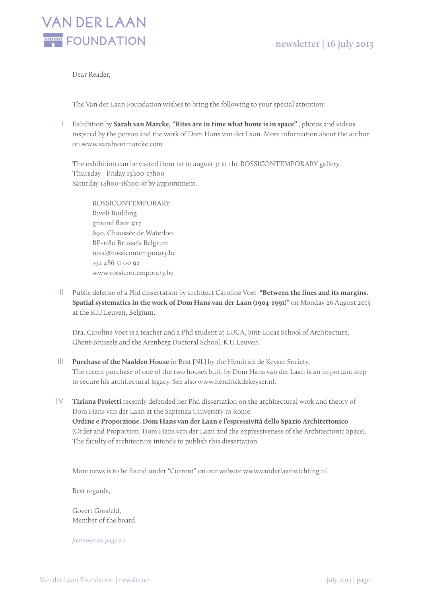

Dear Reader,

The Van der Laan Foundation wishes to bring the following to your special attention:

i Exhibition by **Sarah van Marcke, "Rites are in time what home is in space"** , photos and videos inspired by the person and the work of Dom Hans van der Laan. More information about the author on www.sarahvanmarcke.com.

The exhibition can be visited from 1st to august 31 at the ROSSICONTEMPORARY gallery. Thursday - Friday 13h00-17h00 Saturday 14h00-18h00 or by appointment.

ROSSICONTEMPORARY Rivoli Building ground floor #17 690, Chaussée de Waterloo BE-1180 Brussels Belgium rossi@rossicontemporary.be +32 486 31 00 92 www.rossicontemporary.be

II Public defense of a Phd dissertation by architect Caroline Voet "Between the lines and its margins. **Spatial systematics in the work of Dom Hans van der Laan (1904-1991)"** on Monday 26 August 2013 at the K.U.Leuven, Belgium.

Dra. Caroline Voet is a teacher and a Phd student at LUCA, Sint-Lucas School of Architecture, Ghent-Brussels and the Arenberg Doctoral School, K.U.Leuven.

- III Purchase of the Naalden House in Best [NL] by the Hendrick de Keyser Society. The recent purchase of one of the two houses built by Dom Hans van der Laan is an important step to secure his architectural legacy. See also www.hendrickdekeyser.nl.
- iv **Tiziana Proietti** recently defended her Phd dissertation on the architectural work and theory of Dom Hans van der Laan at the Sapienza University in Rome: **Ordine e Proporzione. Dom Hans van der Laan e l'espressività dello Spazio Architettonico** (Order and Proportion. Dom Hans van der Laan and the expressiveness of the Architectonic Space). The faculty of architecture intends to publish this dissertation.

More news is to be found under "Current" on our website www.vanderlaanstichting.nl.

Best regards,

Govert Grosfeld, Member of the board.

*footnotes on page 2 »*